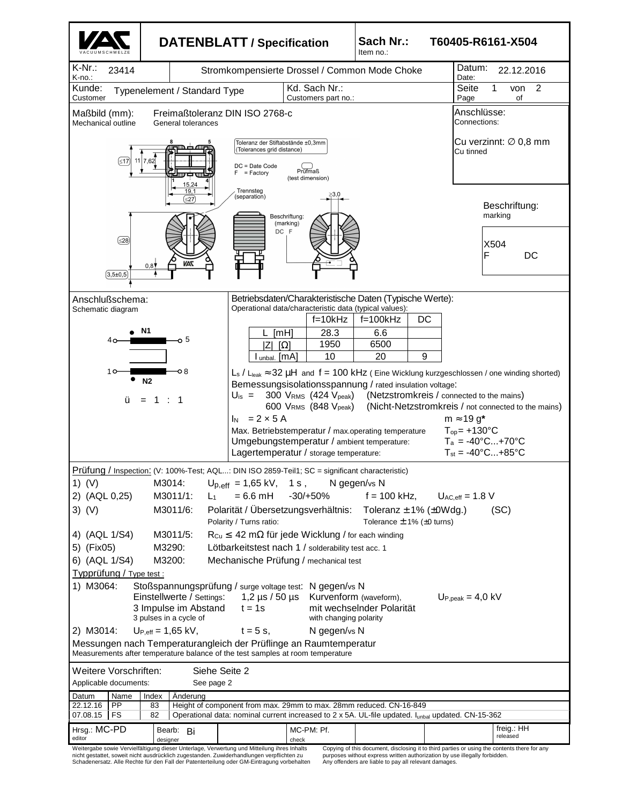

nicht gestattet, soweit nicht ausdrücklich zugestanden. Zuwiderhandlungen verpflichten zu Schadenersatz. Alle Rechte für den Fall der Patenterteilung oder GM-Eintragung vorbehalten purposes without express written authorization by use illegally forbidden. Any offenders are liable to pay all relevant damages.